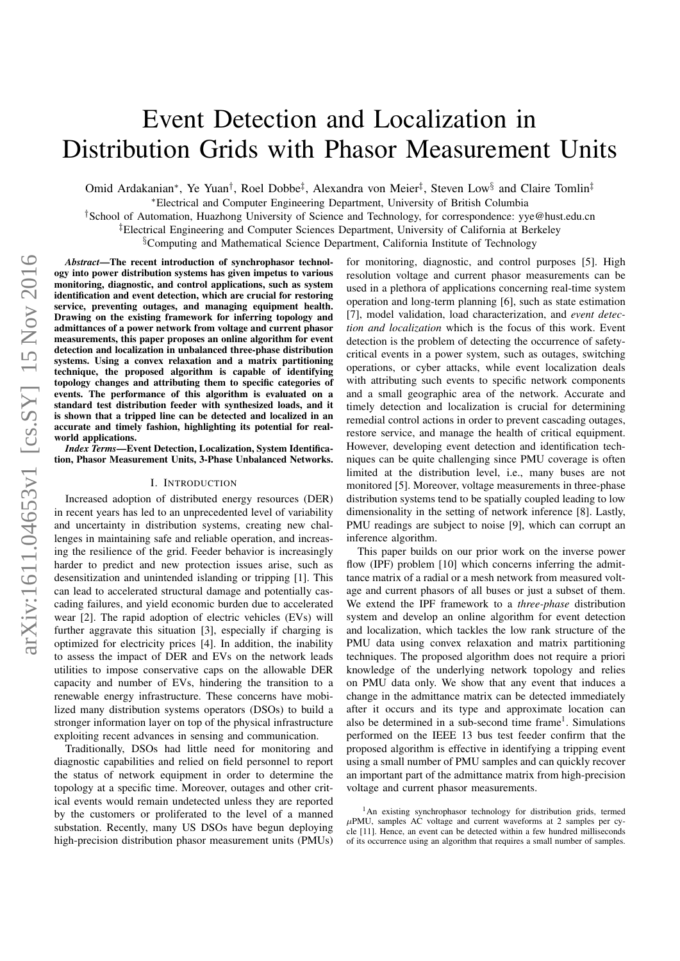# Event Detection and Localization in Distribution Grids with Phasor Measurement Units

Omid Ardakanian<sup>∗</sup>, Ye Yuan<sup>†</sup>, Roel Dobbe<sup>‡</sup>, Alexandra von Meier<sup>‡</sup>, Steven Low<sup>§</sup> and Claire Tomlin<sup>‡</sup>

∗Electrical and Computer Engineering Department, University of British Columbia

†School of Automation, Huazhong University of Science and Technology, for correspondence: yye@hust.edu.cn

‡Electrical Engineering and Computer Sciences Department, University of California at Berkeley

<sup>§</sup>Computing and Mathematical Science Department, California Institute of Technology

*Abstract*—The recent introduction of synchrophasor technology into power distribution systems has given impetus to various monitoring, diagnostic, and control applications, such as system identification and event detection, which are crucial for restoring service, preventing outages, and managing equipment health. Drawing on the existing framework for inferring topology and admittances of a power network from voltage and current phasor measurements, this paper proposes an online algorithm for event detection and localization in unbalanced three-phase distribution systems. Using a convex relaxation and a matrix partitioning technique, the proposed algorithm is capable of identifying topology changes and attributing them to specific categories of events. The performance of this algorithm is evaluated on a standard test distribution feeder with synthesized loads, and it is shown that a tripped line can be detected and localized in an accurate and timely fashion, highlighting its potential for realworld applications.

*Index Terms*—Event Detection, Localization, System Identification, Phasor Measurement Units, 3-Phase Unbalanced Networks.

## I. INTRODUCTION

Increased adoption of distributed energy resources (DER) in recent years has led to an unprecedented level of variability and uncertainty in distribution systems, creating new challenges in maintaining safe and reliable operation, and increasing the resilience of the grid. Feeder behavior is increasingly harder to predict and new protection issues arise, such as desensitization and unintended islanding or tripping [1]. This can lead to accelerated structural damage and potentially cascading failures, and yield economic burden due to accelerated wear [2]. The rapid adoption of electric vehicles (EVs) will further aggravate this situation [3], especially if charging is optimized for electricity prices [4]. In addition, the inability to assess the impact of DER and EVs on the network leads utilities to impose conservative caps on the allowable DER capacity and number of EVs, hindering the transition to a renewable energy infrastructure. These concerns have mobilized many distribution systems operators (DSOs) to build a stronger information layer on top of the physical infrastructure exploiting recent advances in sensing and communication.

Traditionally, DSOs had little need for monitoring and diagnostic capabilities and relied on field personnel to report the status of network equipment in order to determine the topology at a specific time. Moreover, outages and other critical events would remain undetected unless they are reported by the customers or proliferated to the level of a manned substation. Recently, many US DSOs have begun deploying high-precision distribution phasor measurement units (PMUs)

for monitoring, diagnostic, and control purposes [5]. High resolution voltage and current phasor measurements can be used in a plethora of applications concerning real-time system operation and long-term planning [6], such as state estimation [7], model validation, load characterization, and *event detection and localization* which is the focus of this work. Event detection is the problem of detecting the occurrence of safetycritical events in a power system, such as outages, switching operations, or cyber attacks, while event localization deals with attributing such events to specific network components and a small geographic area of the network. Accurate and timely detection and localization is crucial for determining remedial control actions in order to prevent cascading outages, restore service, and manage the health of critical equipment. However, developing event detection and identification techniques can be quite challenging since PMU coverage is often limited at the distribution level, i.e., many buses are not monitored [5]. Moreover, voltage measurements in three-phase distribution systems tend to be spatially coupled leading to low dimensionality in the setting of network inference [8]. Lastly, PMU readings are subject to noise [9], which can corrupt an inference algorithm.

This paper builds on our prior work on the inverse power flow (IPF) problem [10] which concerns inferring the admittance matrix of a radial or a mesh network from measured voltage and current phasors of all buses or just a subset of them. We extend the IPF framework to a *three-phase* distribution system and develop an online algorithm for event detection and localization, which tackles the low rank structure of the PMU data using convex relaxation and matrix partitioning techniques. The proposed algorithm does not require a priori knowledge of the underlying network topology and relies on PMU data only. We show that any event that induces a change in the admittance matrix can be detected immediately after it occurs and its type and approximate location can also be determined in a sub-second time frame<sup>1</sup>. Simulations performed on the IEEE 13 bus test feeder confirm that the proposed algorithm is effective in identifying a tripping event using a small number of PMU samples and can quickly recover an important part of the admittance matrix from high-precision voltage and current phasor measurements.

<sup>1</sup>An existing synchrophasor technology for distribution grids, termed  $\mu$ PMU, samples AC voltage and current waveforms at 2 samples per cycle [11]. Hence, an event can be detected within a few hundred milliseconds of its occurrence using an algorithm that requires a small number of samples.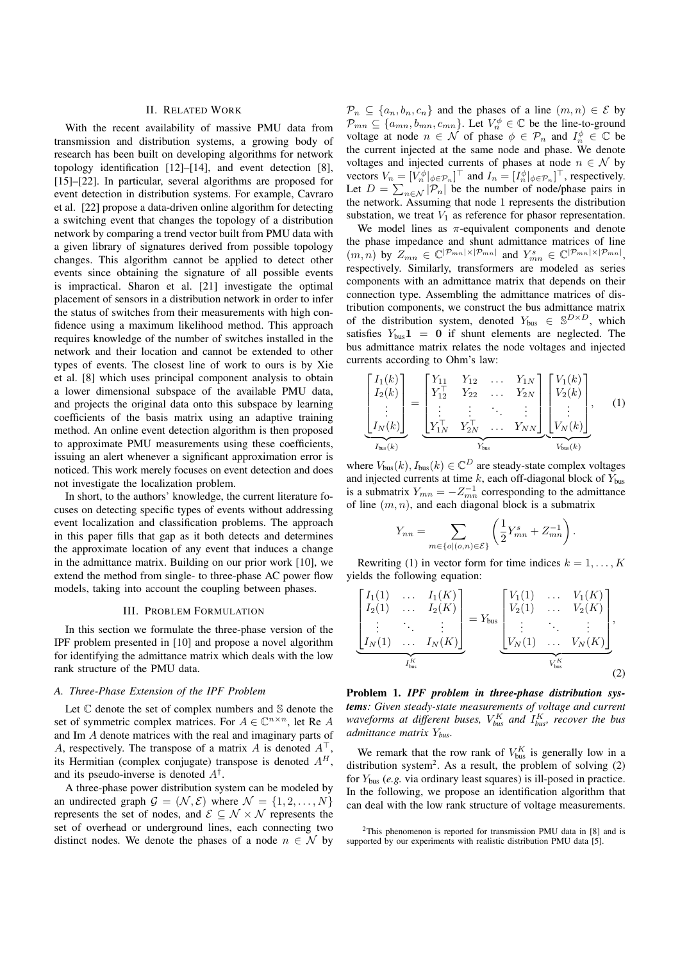# II. RELATED WORK

With the recent availability of massive PMU data from transmission and distribution systems, a growing body of research has been built on developing algorithms for network topology identification [12]–[14], and event detection [8], [15]–[22]. In particular, several algorithms are proposed for event detection in distribution systems. For example, Cavraro et al. [22] propose a data-driven online algorithm for detecting a switching event that changes the topology of a distribution network by comparing a trend vector built from PMU data with a given library of signatures derived from possible topology changes. This algorithm cannot be applied to detect other events since obtaining the signature of all possible events is impractical. Sharon et al. [21] investigate the optimal placement of sensors in a distribution network in order to infer the status of switches from their measurements with high confidence using a maximum likelihood method. This approach requires knowledge of the number of switches installed in the network and their location and cannot be extended to other types of events. The closest line of work to ours is by Xie et al. [8] which uses principal component analysis to obtain a lower dimensional subspace of the available PMU data, and projects the original data onto this subspace by learning coefficients of the basis matrix using an adaptive training method. An online event detection algorithm is then proposed to approximate PMU measurements using these coefficients, issuing an alert whenever a significant approximation error is noticed. This work merely focuses on event detection and does not investigate the localization problem.

In short, to the authors' knowledge, the current literature focuses on detecting specific types of events without addressing event localization and classification problems. The approach in this paper fills that gap as it both detects and determines the approximate location of any event that induces a change in the admittance matrix. Building on our prior work [10], we extend the method from single- to three-phase AC power flow models, taking into account the coupling between phases.

#### III. PROBLEM FORMULATION

In this section we formulate the three-phase version of the IPF problem presented in [10] and propose a novel algorithm for identifying the admittance matrix which deals with the low rank structure of the PMU data.

## *A. Three-Phase Extension of the IPF Problem*

Let C denote the set of complex numbers and S denote the set of symmetric complex matrices. For  $A \in \mathbb{C}^{n \times n}$ , let Re A and Im A denote matrices with the real and imaginary parts of A, respectively. The transpose of a matrix A is denoted  $A^{\top}$ its Hermitian (complex conjugate) transpose is denoted  $A^H$ , and its pseudo-inverse is denoted  $A^{\dagger}$ .

A three-phase power distribution system can be modeled by an undirected graph  $\mathcal{G} = (\mathcal{N}, \mathcal{E})$  where  $\mathcal{N} = \{1, 2, ..., N\}$ represents the set of nodes, and  $\mathcal{E} \subseteq \mathcal{N} \times \mathcal{N}$  represents the set of overhead or underground lines, each connecting two distinct nodes. We denote the phases of a node  $n \in \mathcal{N}$  by  $\mathcal{P}_n \subseteq \{a_n, b_n, c_n\}$  and the phases of a line  $(m, n) \in \mathcal{E}$  by  $\mathcal{P}_{mn} \subseteq \{a_{mn}, b_{mn}, c_{mn}\}.$  Let  $V_n^{\phi} \in \mathbb{C}$  be the line-to-ground voltage at node  $n \in \mathcal{N}$  of phase  $\phi \in \mathcal{P}_n$  and  $I_n^{\phi} \in \mathbb{C}$  be the current injected at the same node and phase. We denote voltages and injected currents of phases at node  $n \in \mathcal{N}$  by vectors  $V_n = [V_n^{\phi}|_{\phi \in \mathcal{P}_n}]^\top$  and  $I_n = [I_n^{\phi}|_{\phi \in \mathcal{P}_n}]^\top$ , respectively. Let  $D = \sum_{n \in \mathcal{N}} |\mathcal{P}_n|$  be the number of node/phase pairs in the network. Assuming that node 1 represents the distribution substation, we treat  $V_1$  as reference for phasor representation.

We model lines as  $\pi$ -equivalent components and denote the phase impedance and shunt admittance matrices of line  $(m, n)$  by  $Z_{mn} \in \mathbb{C}^{|\mathcal{P}_{mn}| \times |\mathcal{P}_{mn}|}$  and  $Y_{mn}^s \in \mathbb{C}^{|\mathcal{P}_{mn}| \times |\mathcal{P}_{mn}|}$ , respectively. Similarly, transformers are modeled as series components with an admittance matrix that depends on their connection type. Assembling the admittance matrices of distribution components, we construct the bus admittance matrix of the distribution system, denoted  $Y_{\text{bus}} \in \mathbb{S}^{D \times D}$ , which satisfies  $Y_{\text{bus}}1 = 0$  if shunt elements are neglected. The bus admittance matrix relates the node voltages and injected currents according to Ohm's law:

$$
\underbrace{\begin{bmatrix} I_1(k) \\ I_2(k) \\ \vdots \\ I_N(k) \end{bmatrix}}_{I_{\text{bus}}(k)} = \underbrace{\begin{bmatrix} Y_{11} & Y_{12} & \dots & Y_{1N} \\ Y_{12}^{\top} & Y_{22} & \dots & Y_{2N} \\ \vdots & \vdots & \ddots & \vdots \\ Y_{1N}^{\top} & Y_{2N}^{\top} & \dots & Y_{NN} \end{bmatrix}}_{Y_{\text{bus}}} \underbrace{\begin{bmatrix} V_1(k) \\ V_2(k) \\ \vdots \\ V_N(k) \end{bmatrix}}_{V_{\text{bus}}(k)}, \quad (1)
$$

where  $V_{bus}(k)$ ,  $I_{bus}(k) \in \mathbb{C}^D$  are steady-state complex voltages and injected currents at time  $k$ , each off-diagonal block of  $Y_{bus}$ is a submatrix  $Y_{mn} = -Z_{mn}^{-1}$  corresponding to the admittance of line  $(m, n)$ , and each diagonal block is a submatrix

$$
Y_{nn} = \sum_{m \in \{o \mid (o,n) \in \mathcal{E}\}} \left( \frac{1}{2} Y_{mn}^s + Z_{mn}^{-1} \right).
$$

Rewriting (1) in vector form for time indices  $k = 1, \ldots, K$ yields the following equation:

$$
\underbrace{\begin{bmatrix} I_1(1) & \dots & I_1(K) \\ I_2(1) & \dots & I_2(K) \\ \vdots & \ddots & \vdots \\ I_N(1) & \dots & I_N(K) \end{bmatrix}}_{I_{\text{bus}}^K} = Y_{\text{bus}} \underbrace{\begin{bmatrix} V_1(1) & \dots & V_1(K) \\ V_2(1) & \dots & V_2(K) \\ \vdots & \ddots & \vdots \\ V_N(1) & \dots & V_N(K) \end{bmatrix}}_{V_{\text{bus}}^K},
$$
\n(2)

Problem 1. *IPF problem in three-phase distribution systems: Given steady-state measurements of voltage and current* waveforms at different buses,  $V_{bus}^K$  and  $I_{bus}^K$ , recover the bus *admittance matrix* Y*bus.*

We remark that the row rank of  $V_{bus}^K$  is generally low in a distribution system<sup>2</sup>. As a result, the problem of solving  $(2)$ for Ybus (*e.g.* via ordinary least squares) is ill-posed in practice. In the following, we propose an identification algorithm that can deal with the low rank structure of voltage measurements.

<sup>2</sup>This phenomenon is reported for transmission PMU data in [8] and is supported by our experiments with realistic distribution PMU data [5].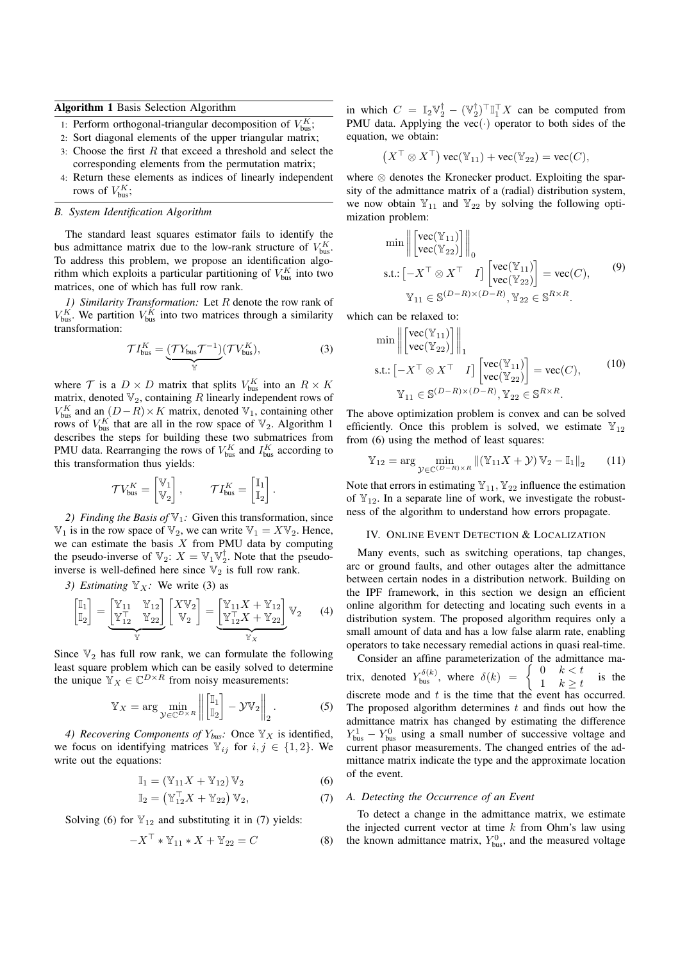Algorithm 1 Basis Selection Algorithm

- 1: Perform orthogonal-triangular decomposition of  $V_{\text{bus}}^K$ ;
- 2: Sort diagonal elements of the upper triangular matrix;
- 3: Choose the first  $R$  that exceed a threshold and select the corresponding elements from the permutation matrix;
- 4: Return these elements as indices of linearly independent rows of  $V_{\text{bus}}^K$ ;

#### *B. System Identification Algorithm*

The standard least squares estimator fails to identify the bus admittance matrix due to the low-rank structure of  $V_{bus}^K$ . To address this problem, we propose an identification algorithm which exploits a particular partitioning of  $V_{\text{bus}}^K$  into two matrices, one of which has full row rank.

*1) Similarity Transformation:* Let R denote the row rank of  $V_{\text{bus}}^K$ . We partition  $V_{\text{bus}}^K$  into two matrices through a similarity transformation:

$$
\mathcal{T}I_{\text{bus}}^K = \underbrace{(\mathcal{T}Y_{\text{bus}}\mathcal{T}^{-1})}_{\mathbb{Y}}(\mathcal{T}V_{\text{bus}}^K),\tag{3}
$$

where  $T$  is a  $D \times D$  matrix that splits  $V_{\text{bus}}^K$  into an  $R \times K$ matrix, denoted  $\mathbb{V}_2$ , containing R linearly independent rows of  $V_{\text{bus}}^K$  and an  $(D-R) \times K$  matrix, denoted  $\mathbb{V}_1$ , containing other rows of  $V_{\text{bus}}^K$  that are all in the row space of  $\mathbb{V}_2$ . Algorithm 1 describes the steps for building these two submatrices from PMU data. Rearranging the rows of  $V_{bus}^K$  and  $I_{bus}^K$  according to this transformation thus yields:

$$
\mathcal{T} V_{\text{bus}}^K = \begin{bmatrix} \mathbb{V}_1 \\ \mathbb{V}_2 \end{bmatrix}, \qquad \mathcal{T} I_{\text{bus}}^K = \begin{bmatrix} \mathbb{I}_1 \\ \mathbb{I}_2 \end{bmatrix}.
$$

*2) Finding the Basis of*  $\mathbb{V}_1$ *:* Given this transformation, since  $\mathbb{V}_1$  is in the row space of  $\mathbb{V}_2$ , we can write  $\mathbb{V}_1 = X \mathbb{V}_2$ . Hence, we can estimate the basis  $X$  from PMU data by computing the pseudo-inverse of  $\mathbb{V}_2$ :  $X = \mathbb{V}_1 \mathbb{V}_2^{\mathsf{T}}$ . Note that the pseudoinverse is well-defined here since  $\mathbb{V}_2$  is full row rank.

*3)* Estimating  $\mathbb{Y}_X$ : We write (3) as

$$
\begin{bmatrix} \mathbb{I}_1 \\ \mathbb{I}_2 \end{bmatrix} = \underbrace{\begin{bmatrix} \mathbb{Y}_{11} & \mathbb{Y}_{12} \\ \mathbb{Y}_{12}^{\top} & \mathbb{Y}_{22} \end{bmatrix}}_{\mathbb{Y}} \begin{bmatrix} X\mathbb{V}_2 \\ \mathbb{V}_2 \end{bmatrix} = \underbrace{\begin{bmatrix} \mathbb{Y}_{11}X + \mathbb{Y}_{12} \\ \mathbb{Y}_{12}^{\top}X + \mathbb{Y}_{22} \end{bmatrix}}_{\mathbb{Y}_X} \mathbb{V}_2 \tag{4}
$$

Since  $\mathbb{V}_2$  has full row rank, we can formulate the following least square problem which can be easily solved to determine the unique  $\mathbb{Y}_X \in \mathbb{C}^{D \times R}$  from noisy measurements:

$$
\mathbb{Y}_X = \arg\min_{\mathcal{Y}\in\mathbb{C}^{D\times R}} \left\| \begin{bmatrix} \mathbb{I}_1 \\ \mathbb{I}_2 \end{bmatrix} - \mathcal{Y}\mathbb{V}_2 \right\|_2.
$$
 (5)

*4) Recovering Components of*  $Y_{bus}$ *:* Once  $\mathbb{Y}_X$  is identified, we focus on identifying matrices  $\mathbb{Y}_{ij}$  for  $i, j \in \{1, 2\}$ . We write out the equations:

$$
\mathbb{I}_1 = (\mathbb{Y}_{11}X + \mathbb{Y}_{12})\mathbb{V}_2 \tag{6}
$$

$$
\mathbb{I}_2 = \left(\mathbb{Y}_{12}^\top X + \mathbb{Y}_{22}\right) \mathbb{V}_2,\tag{7}
$$

Solving (6) for  $\mathbb{Y}_{12}$  and substituting it in (7) yields:

$$
-X^{\top} * \mathbb{Y}_{11} * X + \mathbb{Y}_{22} = C \tag{8}
$$

in which  $C = \mathbb{I}_2 \mathbb{V}_2^{\mathsf{T}} - (\mathbb{V}_2^{\mathsf{T}})^{\mathsf{T}} \mathbb{I}_1^{\mathsf{T}} X$  can be computed from PMU data. Applying the vec $(\cdot)$  operator to both sides of the equation, we obtain:

$$
(X^{\top} \otimes X^{\top}) \text{ vec}(\mathbb{Y}_{11}) + \text{ vec}(\mathbb{Y}_{22}) = \text{ vec}(C),
$$

where ⊗ denotes the Kronecker product. Exploiting the sparsity of the admittance matrix of a (radial) distribution system, we now obtain  $\mathbb{Y}_{11}$  and  $\mathbb{Y}_{22}$  by solving the following optimization problem:

$$
\min \left\| \begin{bmatrix} \text{vec}(\mathbb{Y}_{11}) \\ \text{vec}(\mathbb{Y}_{22}) \end{bmatrix} \right\|_0
$$
\n
$$
\text{s.t.: } \left[ -X^\top \otimes X^\top I \right] \begin{bmatrix} \text{vec}(\mathbb{Y}_{11}) \\ \text{vec}(\mathbb{Y}_{22}) \end{bmatrix} = \text{vec}(C), \qquad (9)
$$
\n
$$
\mathbb{Y}_{11} \in \mathbb{S}^{(D-R)\times(D-R)}, \mathbb{Y}_{22} \in \mathbb{S}^{R \times R}.
$$

which can be relaxed to:

$$
\min \left\| \begin{bmatrix} \text{vec}(\mathbb{Y}_{11}) \\ \text{vec}(\mathbb{Y}_{22}) \end{bmatrix} \right\|_1
$$
\n
$$
\text{s.t.: } \left[ -X^\top \otimes X^\top I \right] \begin{bmatrix} \text{vec}(\mathbb{Y}_{11}) \\ \text{vec}(\mathbb{Y}_{22}) \end{bmatrix} = \text{vec}(C), \qquad (10)
$$
\n
$$
\mathbb{Y}_{11} \in \mathbb{S}^{(D-R)\times(D-R)}, \mathbb{Y}_{22} \in \mathbb{S}^{R \times R}.
$$

The above optimization problem is convex and can be solved efficiently. Once this problem is solved, we estimate  $\mathbb{Y}_{12}$ from (6) using the method of least squares:

$$
\mathbb{Y}_{12} = \arg\min_{\mathcal{Y} \in \mathbb{C}^{(D-R)\times R}} \| (\mathbb{Y}_{11}X + \mathcal{Y}) \mathbb{V}_2 - \mathbb{I}_1 \|_2 \qquad (11)
$$

Note that errors in estimating  $\mathbb{Y}_{11}$ ,  $\mathbb{Y}_{22}$  influence the estimation of  $\mathbb{Y}_{12}$ . In a separate line of work, we investigate the robustness of the algorithm to understand how errors propagate.

#### IV. ONLINE EVENT DETECTION & LOCALIZATION

Many events, such as switching operations, tap changes, arc or ground faults, and other outages alter the admittance between certain nodes in a distribution network. Building on the IPF framework, in this section we design an efficient online algorithm for detecting and locating such events in a distribution system. The proposed algorithm requires only a small amount of data and has a low false alarm rate, enabling operators to take necessary remedial actions in quasi real-time.

Consider an affine parameterization of the admittance matrix, denoted  $Y_{\text{bus}}^{\delta(k)}$ , where  $\delta(k) = \begin{cases} 0 & k < t \\ 1 & k > t \end{cases}$  $\begin{array}{ccc} 0 & k < t \\ 1 & k > t \end{array}$  is the discrete mode and t is the time that the event has occurred. The proposed algorithm determines  $t$  and finds out how the admittance matrix has changed by estimating the difference  $Y_{bus}^1 - Y_{bus}^0$  using a small number of successive voltage and current phasor measurements. The changed entries of the admittance matrix indicate the type and the approximate location of the event.

#### *A. Detecting the Occurrence of an Event*

To detect a change in the admittance matrix, we estimate the injected current vector at time  $k$  from Ohm's law using the known admittance matrix,  $Y_{\text{bus}}^0$ , and the measured voltage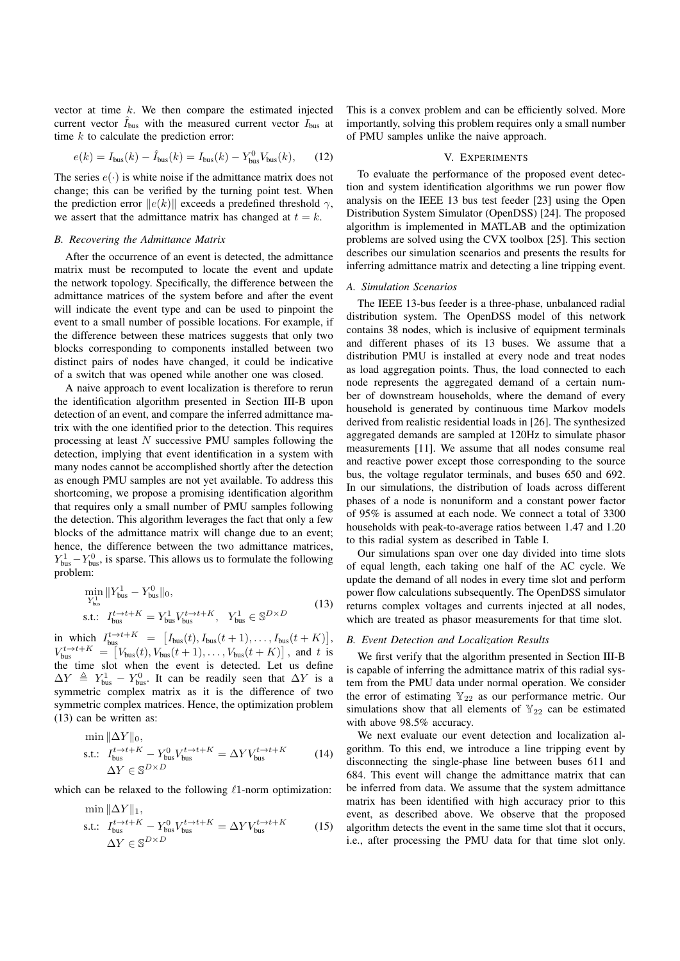vector at time  $k$ . We then compare the estimated injected current vector  $I_{\text{bus}}$  with the measured current vector  $I_{\text{bus}}$  at time  $k$  to calculate the prediction error:

$$
e(k) = I_{\text{bus}}(k) - \hat{I}_{\text{bus}}(k) = I_{\text{bus}}(k) - Y_{\text{bus}}^0 V_{\text{bus}}(k), \quad (12)
$$

The series  $e(\cdot)$  is white noise if the admittance matrix does not change; this can be verified by the turning point test. When the prediction error  $||e(k)||$  exceeds a predefined threshold  $\gamma$ , we assert that the admittance matrix has changed at  $t = k$ .

#### *B. Recovering the Admittance Matrix*

After the occurrence of an event is detected, the admittance matrix must be recomputed to locate the event and update the network topology. Specifically, the difference between the admittance matrices of the system before and after the event will indicate the event type and can be used to pinpoint the event to a small number of possible locations. For example, if the difference between these matrices suggests that only two blocks corresponding to components installed between two distinct pairs of nodes have changed, it could be indicative of a switch that was opened while another one was closed.

A naive approach to event localization is therefore to rerun the identification algorithm presented in Section III-B upon detection of an event, and compare the inferred admittance matrix with the one identified prior to the detection. This requires processing at least N successive PMU samples following the detection, implying that event identification in a system with many nodes cannot be accomplished shortly after the detection as enough PMU samples are not yet available. To address this shortcoming, we propose a promising identification algorithm that requires only a small number of PMU samples following the detection. This algorithm leverages the fact that only a few blocks of the admittance matrix will change due to an event; hence, the difference between the two admittance matrices,  $Y_{bus}^1 - Y_{bus}^0$ , is sparse. This allows us to formulate the following problem:

$$
\min_{Y_{\text{bus}}^{1}} \|Y_{\text{bus}}^{1} - Y_{\text{bus}}^{0}\|_{0},
$$
\n
$$
\text{s.t.:} \quad I_{\text{bus}}^{t \to t + K} = Y_{\text{bus}}^{1} V_{\text{bus}}^{t \to t + K}, \quad Y_{\text{bus}}^{1} \in \mathbb{S}^{D \times D}
$$
\n
$$
(13)
$$

in which  $I_{\text{bus}}^{t\to t+K} = [I_{\text{bus}}(t), I_{\text{bus}}(t+1), \dots, I_{\text{bus}}(t+K)],$  $V_{\text{bus}}^{t \to t+K} = \left[V_{\text{bus}}(t), V_{\text{bus}}(t+1), \ldots, V_{\text{bus}}(t+K)\right]$ , and t is the time slot when the event is detected. Let us define  $\Delta Y \triangleq Y_{\text{bus}}^1 - Y_{\text{bus}}^0$ . It can be readily seen that  $\Delta Y$  is a symmetric complex matrix as it is the difference of two symmetric complex matrices. Hence, the optimization problem (13) can be written as:

$$
\min ||\Delta Y||_0,
$$
  
s.t.:  $I_{\text{bus}}^{t \to t+K} - Y_{\text{bus}}^0 V_{\text{bus}}^{t \to t+K} = \Delta Y V_{\text{bus}}^{t \to t+K}$  (14)  
 $\Delta Y \in \mathbb{S}^{D \times D}$ 

which can be relaxed to the following  $\ell$ 1-norm optimization:

$$
\min_{\text{S.t.:}\atop{\Delta Y \to t+K}} \|\Delta Y\|_{1},
$$
\n
$$
\text{s.t.:}\t\quad\n\begin{aligned}\nI_{\text{bus}}^{t \to t+K} - Y_{\text{bus}}^{0} V_{\text{bus}}^{t \to t+K} &= \Delta Y V_{\text{bus}}^{t \to t+K} \\
\Delta Y \in \mathbb{S}^{D \times D}\n\end{aligned}\n\tag{15}
$$

This is a convex problem and can be efficiently solved. More importantly, solving this problem requires only a small number of PMU samples unlike the naive approach.

#### V. EXPERIMENTS

To evaluate the performance of the proposed event detection and system identification algorithms we run power flow analysis on the IEEE 13 bus test feeder [23] using the Open Distribution System Simulator (OpenDSS) [24]. The proposed algorithm is implemented in MATLAB and the optimization problems are solved using the CVX toolbox [25]. This section describes our simulation scenarios and presents the results for inferring admittance matrix and detecting a line tripping event.

#### *A. Simulation Scenarios*

The IEEE 13-bus feeder is a three-phase, unbalanced radial distribution system. The OpenDSS model of this network contains 38 nodes, which is inclusive of equipment terminals and different phases of its 13 buses. We assume that a distribution PMU is installed at every node and treat nodes as load aggregation points. Thus, the load connected to each node represents the aggregated demand of a certain number of downstream households, where the demand of every household is generated by continuous time Markov models derived from realistic residential loads in [26]. The synthesized aggregated demands are sampled at 120Hz to simulate phasor measurements [11]. We assume that all nodes consume real and reactive power except those corresponding to the source bus, the voltage regulator terminals, and buses 650 and 692. In our simulations, the distribution of loads across different phases of a node is nonuniform and a constant power factor of 95% is assumed at each node. We connect a total of 3300 households with peak-to-average ratios between 1.47 and 1.20 to this radial system as described in Table I.

Our simulations span over one day divided into time slots of equal length, each taking one half of the AC cycle. We update the demand of all nodes in every time slot and perform power flow calculations subsequently. The OpenDSS simulator returns complex voltages and currents injected at all nodes, which are treated as phasor measurements for that time slot.

#### *B. Event Detection and Localization Results*

We first verify that the algorithm presented in Section III-B is capable of inferring the admittance matrix of this radial system from the PMU data under normal operation. We consider the error of estimating  $\mathbb{Y}_{22}$  as our performance metric. Our simulations show that all elements of  $\mathbb{Y}_{22}$  can be estimated with above 98.5% accuracy.

We next evaluate our event detection and localization algorithm. To this end, we introduce a line tripping event by disconnecting the single-phase line between buses 611 and 684. This event will change the admittance matrix that can be inferred from data. We assume that the system admittance matrix has been identified with high accuracy prior to this event, as described above. We observe that the proposed algorithm detects the event in the same time slot that it occurs, i.e., after processing the PMU data for that time slot only.